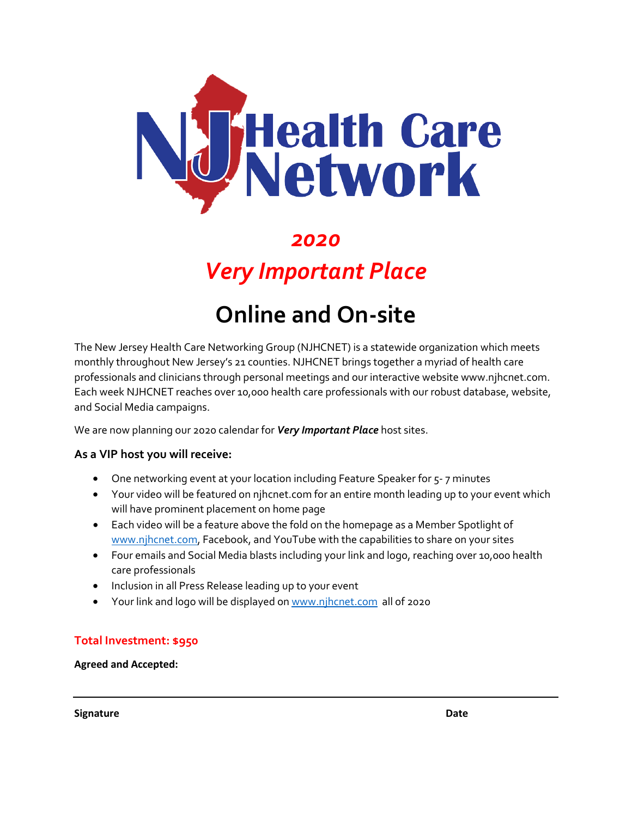

## *2020*

## *Very Important Place*

# **Online and On-site**

The New Jersey Health Care Networking Group (NJHCNET) is a statewide organization which meets monthly throughout New Jersey's 21 counties. NJHCNET brings together a myriad of health care professionals and clinicians through personal meetings and our interactive website www.njhcnet.com. Each week NJHCNET reaches over 10,000 health care professionals with our robust database, website, and Social Media campaigns.

We are now planning our 2020 calendar for *Very Important Place* host sites.

#### **As a VIP host you will receive:**

- One networking event at your location including Feature Speaker for 5-7 minutes
- Your video will be featured on njhcnet.com for an entire month leading up to your event which will have prominent placement on home page
- Each video will be a feature above the fold on the homepage as a Member Spotlight of [www.njhcnet.com,](http://www.njhcnet.com/) Facebook, and YouTube with the capabilities to share on your sites
- Four emails and Social Media blasts including your link and logo, reaching over 10,000 health care professionals
- Inclusion in all Press Release leading up to your event
- Your link and logo will be displayed o[n www.njhcnet.com](http://www.njhcnet.com/) all of 2020

#### **Total Investment: \$950**

**Agreed and Accepted:** 

**Signature Date**